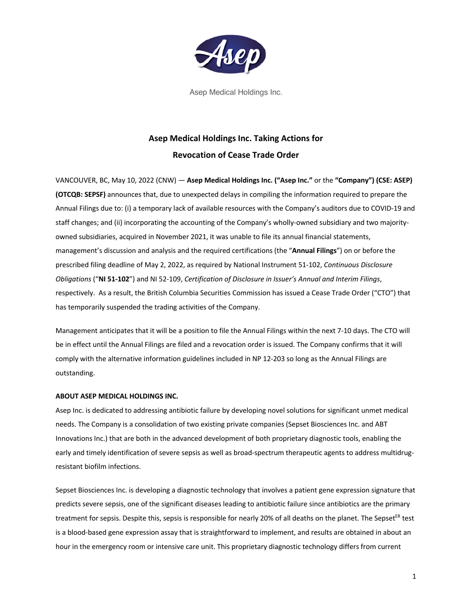

Asep Medical Holdings Inc.

## **Asep Medical Holdings Inc. Taking Actions for Revocation of Cease Trade Order**

VANCOUVER, BC, May 10, 2022 (CNW) — **Asep Medical Holdings Inc. ("Asep Inc."** or the **"Company") (CSE: ASEP) (OTCQB: SEPSF)** announces that, due to unexpected delays in compiling the information required to prepare the Annual Filings due to: (i) a temporary lack of available resources with the Company's auditors due to COVID-19 and staff changes; and (ii) incorporating the accounting of the Company's wholly-owned subsidiary and two majorityowned subsidiaries, acquired in November 2021, it was unable to file its annual financial statements, management's discussion and analysis and the required certifications (the "**Annual Filings**") on or before the prescribed filing deadline of May 2, 2022, as required by National Instrument 51-102, *Continuous Disclosure Obligations* ("**NI 51-102**") and NI 52-109, *Certification of Disclosure in Issuer's Annual and Interim Filings*, respectively. As a result, the British Columbia Securities Commission has issued a Cease Trade Order ("CTO") that has temporarily suspended the trading activities of the Company.

Management anticipates that it will be a position to file the Annual Filings within the next 7-10 days. The CTO will be in effect until the Annual Filings are filed and a revocation order is issued. The Company confirms that it will comply with the alternative information guidelines included in NP 12-203 so long as the Annual Filings are outstanding.

## **ABOUT ASEP MEDICAL HOLDINGS INC.**

Asep Inc. is dedicated to addressing antibiotic failure by developing novel solutions for significant unmet medical needs. The Company is a consolidation of two existing private companies (Sepset Biosciences Inc. and ABT Innovations Inc.) that are both in the advanced development of both proprietary diagnostic tools, enabling the early and timely identification of severe sepsis as well as broad-spectrum therapeutic agents to address multidrugresistant biofilm infections.

Sepset Biosciences Inc. is developing a diagnostic technology that involves a patient gene expression signature that predicts severe sepsis, one of the significant diseases leading to antibiotic failure since antibiotics are the primary treatment for sepsis. Despite this, sepsis is responsible for nearly 20% of all deaths on the planet. The Sepset<sup>ER</sup> test is a blood-based gene expression assay that is straightforward to implement, and results are obtained in about an hour in the emergency room or intensive care unit. This proprietary diagnostic technology differs from current